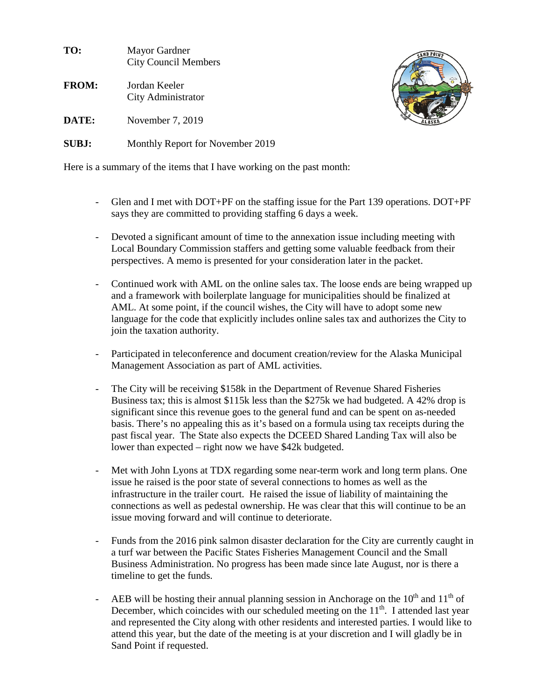| TO:          | Mayor Gardner<br><b>City Council Members</b> |
|--------------|----------------------------------------------|
| <b>FROM:</b> | Jordan Keeler<br>City Administrator          |
| DATE:        | November 7, 2019                             |
| SUBJ:        | Monthly Report for November 2019             |



Here is a summary of the items that I have working on the past month:

- Glen and I met with DOT+PF on the staffing issue for the Part 139 operations. DOT+PF says they are committed to providing staffing 6 days a week.
- Devoted a significant amount of time to the annexation issue including meeting with Local Boundary Commission staffers and getting some valuable feedback from their perspectives. A memo is presented for your consideration later in the packet.
- Continued work with AML on the online sales tax. The loose ends are being wrapped up and a framework with boilerplate language for municipalities should be finalized at AML. At some point, if the council wishes, the City will have to adopt some new language for the code that explicitly includes online sales tax and authorizes the City to join the taxation authority.
- Participated in teleconference and document creation/review for the Alaska Municipal Management Association as part of AML activities.
- The City will be receiving \$158k in the Department of Revenue Shared Fisheries Business tax; this is almost \$115k less than the \$275k we had budgeted. A 42% drop is significant since this revenue goes to the general fund and can be spent on as-needed basis. There's no appealing this as it's based on a formula using tax receipts during the past fiscal year. The State also expects the DCEED Shared Landing Tax will also be lower than expected – right now we have \$42k budgeted.
- Met with John Lyons at TDX regarding some near-term work and long term plans. One issue he raised is the poor state of several connections to homes as well as the infrastructure in the trailer court. He raised the issue of liability of maintaining the connections as well as pedestal ownership. He was clear that this will continue to be an issue moving forward and will continue to deteriorate.
- Funds from the 2016 pink salmon disaster declaration for the City are currently caught in a turf war between the Pacific States Fisheries Management Council and the Small Business Administration. No progress has been made since late August, nor is there a timeline to get the funds.
- AEB will be hosting their annual planning session in Anchorage on the  $10^{th}$  and  $11^{th}$  of December, which coincides with our scheduled meeting on the  $11<sup>th</sup>$ . I attended last year and represented the City along with other residents and interested parties. I would like to attend this year, but the date of the meeting is at your discretion and I will gladly be in Sand Point if requested.